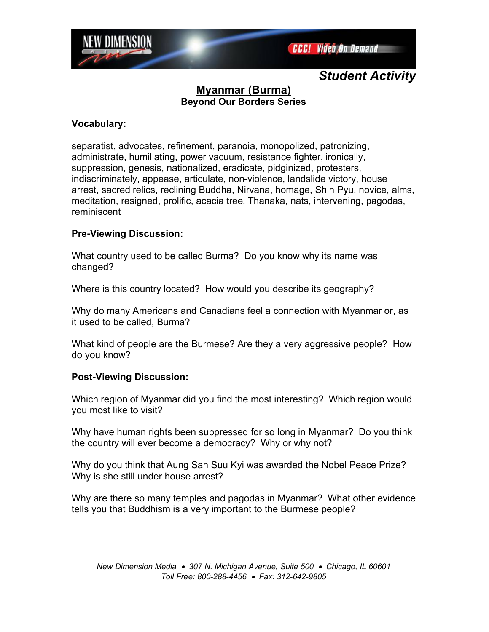

# **Myanmar (Burma) Beyond Our Borders Series**

### **Vocabulary:**

separatist, advocates, refinement, paranoia, monopolized, patronizing, administrate, humiliating, power vacuum, resistance fighter, ironically, suppression, genesis, nationalized, eradicate, pidginized, protesters, indiscriminately, appease, articulate, non-violence, landslide victory, house arrest, sacred relics, reclining Buddha, Nirvana, homage, Shin Pyu, novice, alms, meditation, resigned, prolific, acacia tree, Thanaka, nats, intervening, pagodas, reminiscent

## **Pre-Viewing Discussion:**

What country used to be called Burma? Do you know why its name was changed?

Where is this country located? How would you describe its geography?

Why do many Americans and Canadians feel a connection with Myanmar or, as it used to be called, Burma?

What kind of people are the Burmese? Are they a very aggressive people? How do you know?

## **Post-Viewing Discussion:**

Which region of Myanmar did you find the most interesting? Which region would you most like to visit?

Why have human rights been suppressed for so long in Myanmar? Do you think the country will ever become a democracy? Why or why not?

Why do you think that Aung San Suu Kyi was awarded the Nobel Peace Prize? Why is she still under house arrest?

Why are there so many temples and pagodas in Myanmar? What other evidence tells you that Buddhism is a very important to the Burmese people?